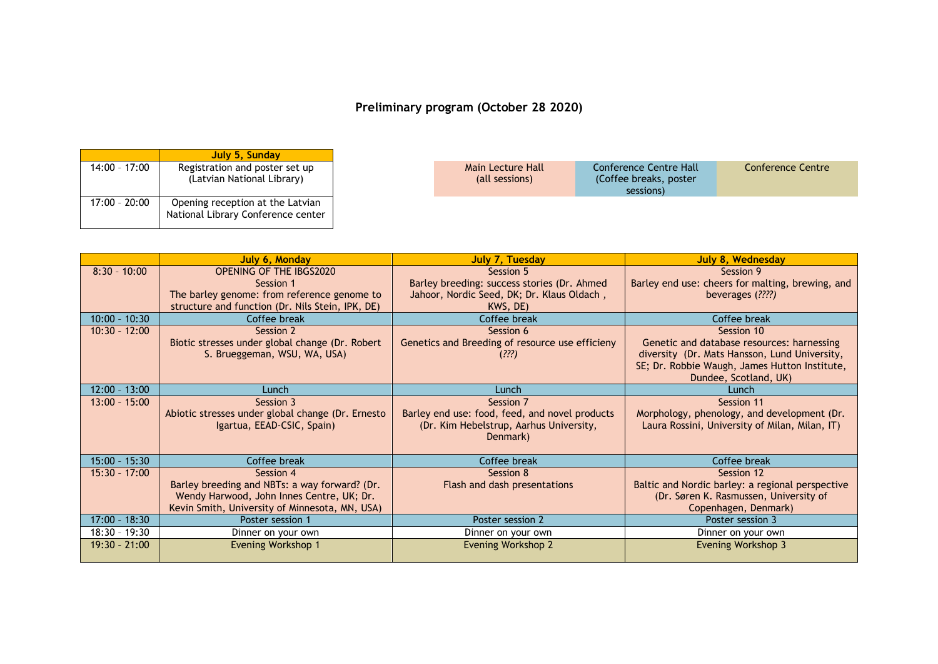## **Preliminary program (October 28 2020)**

|                 | July 5, Sunday                                                         |
|-----------------|------------------------------------------------------------------------|
| $14:00 - 17:00$ | Registration and poster set up<br>(Latvian National Library)           |
| $17:00 - 20:00$ | Opening reception at the Latvian<br>National Library Conference center |

| sessions) |
|-----------|
|-----------|

|                 | July 6, Monday                                    | July 7, Tuesday                                 | July 8, Wednesday                                |
|-----------------|---------------------------------------------------|-------------------------------------------------|--------------------------------------------------|
| $8:30 - 10:00$  | <b>OPENING OF THE IBGS2020</b>                    | Session 5                                       | Session 9                                        |
|                 | Session 1                                         | Barley breeding: success stories (Dr. Ahmed     | Barley end use: cheers for malting, brewing, and |
|                 | The barley genome: from reference genome to       | Jahoor, Nordic Seed, DK; Dr. Klaus Oldach,      | beverages (????)                                 |
|                 | structure and function (Dr. Nils Stein, IPK, DE)  | KWS, DE)                                        |                                                  |
| $10:00 - 10:30$ | Coffee break                                      | Coffee break                                    | Coffee break                                     |
| $10:30 - 12:00$ | Session 2                                         | Session 6                                       | Session 10                                       |
|                 | Biotic stresses under global change (Dr. Robert)  | Genetics and Breeding of resource use efficieny | Genetic and database resources: harnessing       |
|                 | S. Brueggeman, WSU, WA, USA)                      | (???)                                           | diversity (Dr. Mats Hansson, Lund University,    |
|                 |                                                   |                                                 | SE; Dr. Robbie Waugh, James Hutton Institute,    |
|                 |                                                   |                                                 | Dundee, Scotland, UK)                            |
| $12:00 - 13:00$ | Lunch                                             | Lunch                                           | Lunch                                            |
| $13:00 - 15:00$ | Session 3                                         | Session 7                                       | Session 11                                       |
|                 | Abiotic stresses under global change (Dr. Ernesto | Barley end use: food, feed, and novel products  | Morphology, phenology, and development (Dr.      |
|                 | Igartua, EEAD-CSIC, Spain)                        | (Dr. Kim Hebelstrup, Aarhus University,         | Laura Rossini, University of Milan, Milan, IT)   |
|                 |                                                   | Denmark)                                        |                                                  |
|                 |                                                   |                                                 |                                                  |
| $15:00 - 15:30$ | Coffee break                                      | Coffee break                                    | Coffee break                                     |
| $15:30 - 17:00$ | Session 4                                         | Session 8                                       | Session 12                                       |
|                 | Barley breeding and NBTs: a way forward? (Dr.     | Flash and dash presentations                    | Baltic and Nordic barley: a regional perspective |
|                 | Wendy Harwood, John Innes Centre, UK; Dr.         |                                                 | (Dr. Søren K. Rasmussen, University of           |
|                 | Kevin Smith, University of Minnesota, MN, USA)    |                                                 | Copenhagen, Denmark)                             |
| $17:00 - 18:30$ | Poster session 1                                  | Poster session 2                                | Poster session 3                                 |
| $18:30 - 19:30$ | Dinner on your own                                | Dinner on your own                              | Dinner on your own                               |
| $19:30 - 21:00$ | <b>Evening Workshop 1</b>                         | <b>Evening Workshop 2</b>                       | Evening Workshop 3                               |
|                 |                                                   |                                                 |                                                  |